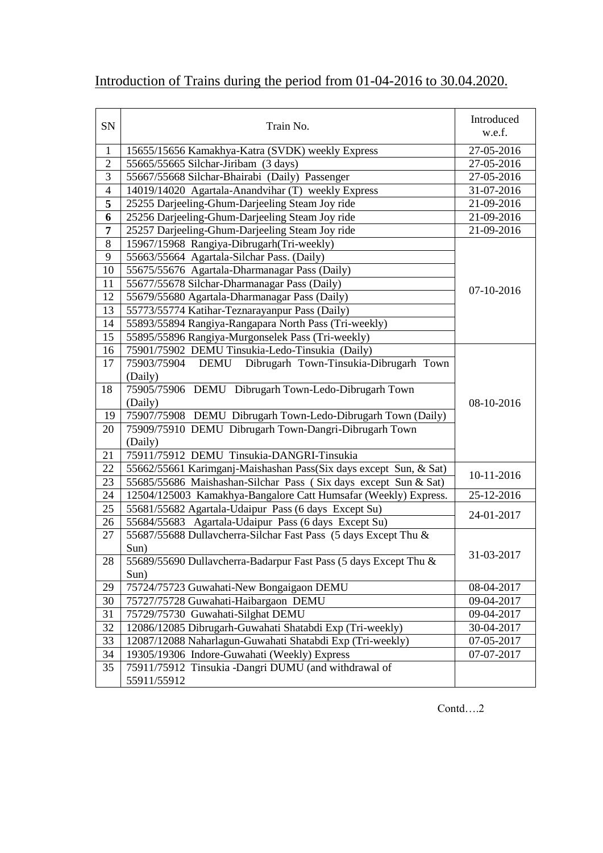| SN             | Train No.                                                         | Introduced<br>w.e.f. |
|----------------|-------------------------------------------------------------------|----------------------|
| $\mathbf{1}$   | 15655/15656 Kamakhya-Katra (SVDK) weekly Express                  | $27 - 05 - 2016$     |
| $\overline{2}$ | 55665/55665 Silchar-Jiribam (3 days)                              | 27-05-2016           |
| $\overline{3}$ | 55667/55668 Silchar-Bhairabi (Daily) Passenger                    | 27-05-2016           |
| $\overline{4}$ | 14019/14020 Agartala-Anandvihar (T) weekly Express                | 31-07-2016           |
| 5              | 25255 Darjeeling-Ghum-Darjeeling Steam Joy ride                   | 21-09-2016           |
| 6              | 25256 Darjeeling-Ghum-Darjeeling Steam Joy ride                   | 21-09-2016           |
| 7              | 25257 Darjeeling-Ghum-Darjeeling Steam Joy ride                   | 21-09-2016           |
| 8              | 15967/15968 Rangiya-Dibrugarh(Tri-weekly)                         |                      |
| 9              | 55663/55664 Agartala-Silchar Pass. (Daily)                        |                      |
| 10             | 55675/55676 Agartala-Dharmanagar Pass (Daily)                     |                      |
| 11             | 55677/55678 Silchar-Dharmanagar Pass (Daily)                      | 07-10-2016           |
| 12             | 55679/55680 Agartala-Dharmanagar Pass (Daily)                     |                      |
| 13             | 55773/55774 Katihar-Teznarayanpur Pass (Daily)                    |                      |
| 14             | 55893/55894 Rangiya-Rangapara North Pass (Tri-weekly)             |                      |
| 15             | 55895/55896 Rangiya-Murgonselek Pass (Tri-weekly)                 |                      |
| 16             | 75901/75902 DEMU Tinsukia-Ledo-Tinsukia (Daily)                   |                      |
| 17             | 75903/75904<br>Dibrugarh Town-Tinsukia-Dibrugarh Town<br>DEMU     |                      |
|                | (Daily)                                                           |                      |
| 18             | 75905/75906 DEMU Dibrugarh Town-Ledo-Dibrugarh Town               |                      |
|                | (Daily)                                                           | 08-10-2016           |
| 19             | 75907/75908 DEMU Dibrugarh Town-Ledo-Dibrugarh Town (Daily)       |                      |
| 20             | 75909/75910 DEMU Dibrugarh Town-Dangri-Dibrugarh Town             |                      |
|                | (Daily)                                                           |                      |
| 21             | 75911/75912 DEMU Tinsukia-DANGRI-Tinsukia                         |                      |
| 22             | 55662/55661 Karimganj-Maishashan Pass(Six days except Sun, & Sat) | 10-11-2016           |
| 23             | 55685/55686 Maishashan-Silchar Pass (Six days except Sun & Sat)   |                      |
| 24             | 12504/125003 Kamakhya-Bangalore Catt Humsafar (Weekly) Express.   | 25-12-2016           |
| 25             | 55681/55682 Agartala-Udaipur Pass (6 days Except Su)              |                      |
| 26             | 55684/55683 Agartala-Udaipur Pass (6 days Except Su)              | 24-01-2017           |
| 27             | 55687/55688 Dullavcherra-Silchar Fast Pass (5 days Except Thu &   |                      |
|                | Sun)                                                              |                      |
| 28             | 55689/55690 Dullavcherra-Badarpur Fast Pass (5 days Except Thu &  | 31-03-2017           |
|                | Sun)                                                              |                      |
| 29             | 75724/75723 Guwahati-New Bongaigaon DEMU                          | 08-04-2017           |
| 30             | 75727/75728 Guwahati-Haibargaon DEMU                              | 09-04-2017           |
| 31             | 75729/75730 Guwahati-Silghat DEMU                                 | 09-04-2017           |
| 32             | 12086/12085 Dibrugarh-Guwahati Shatabdi Exp (Tri-weekly)          | 30-04-2017           |
| 33             | 12087/12088 Naharlagun-Guwahati Shatabdi Exp (Tri-weekly)         | 07-05-2017           |
| 34             | 19305/19306 Indore-Guwahati (Weekly) Express                      | 07-07-2017           |
| 35             | 75911/75912 Tinsukia -Dangri DUMU (and withdrawal of              |                      |
|                | 55911/55912                                                       |                      |

## Introduction of Trains during the period from 01-04-2016 to 30.04.2020.

Contd….2